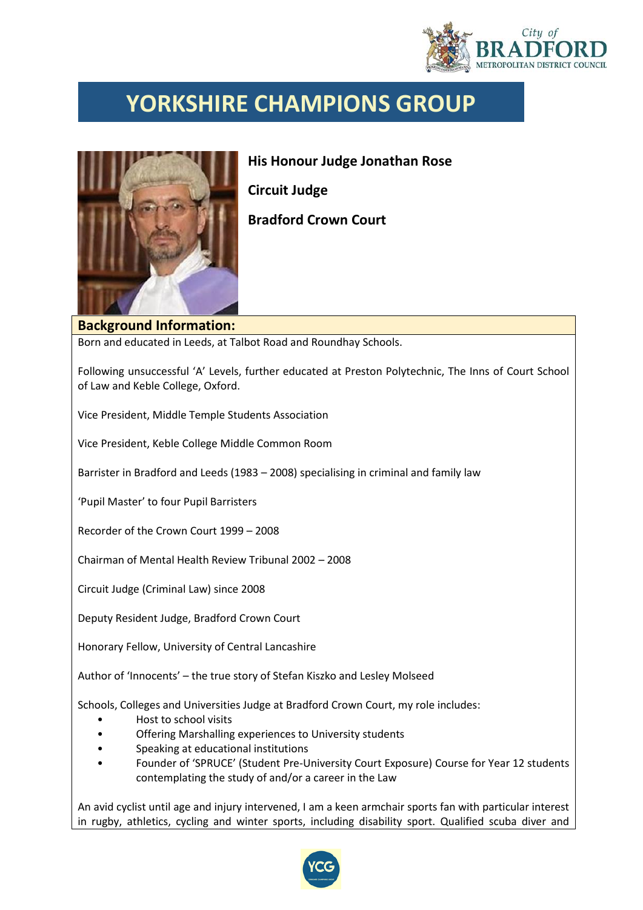

## **YORKSHIRE CHAMPIONS GROUP**



**His Honour Judge Jonathan Rose Circuit Judge Bradford Crown Court**

## **Background Information:**

Born and educated in Leeds, at Talbot Road and Roundhay Schools.

Following unsuccessful 'A' Levels, further educated at Preston Polytechnic, The Inns of Court School of Law and Keble College, Oxford.

Vice President, Middle Temple Students Association

Vice President, Keble College Middle Common Room

Barrister in Bradford and Leeds (1983 – 2008) specialising in criminal and family law

'Pupil Master' to four Pupil Barristers

Recorder of the Crown Court 1999 – 2008

Chairman of Mental Health Review Tribunal 2002 – 2008

Circuit Judge (Criminal Law) since 2008

Deputy Resident Judge, Bradford Crown Court

Honorary Fellow, University of Central Lancashire

Author of 'Innocents' – the true story of Stefan Kiszko and Lesley Molseed

Schools, Colleges and Universities Judge at Bradford Crown Court, my role includes:

- Host to school visits
- Offering Marshalling experiences to University students
- Speaking at educational institutions
- Founder of 'SPRUCE' (Student Pre-University Court Exposure) Course for Year 12 students contemplating the study of and/or a career in the Law

An avid cyclist until age and injury intervened, I am a keen armchair sports fan with particular interest in rugby, athletics, cycling and winter sports, including disability sport. Qualified scuba diver and